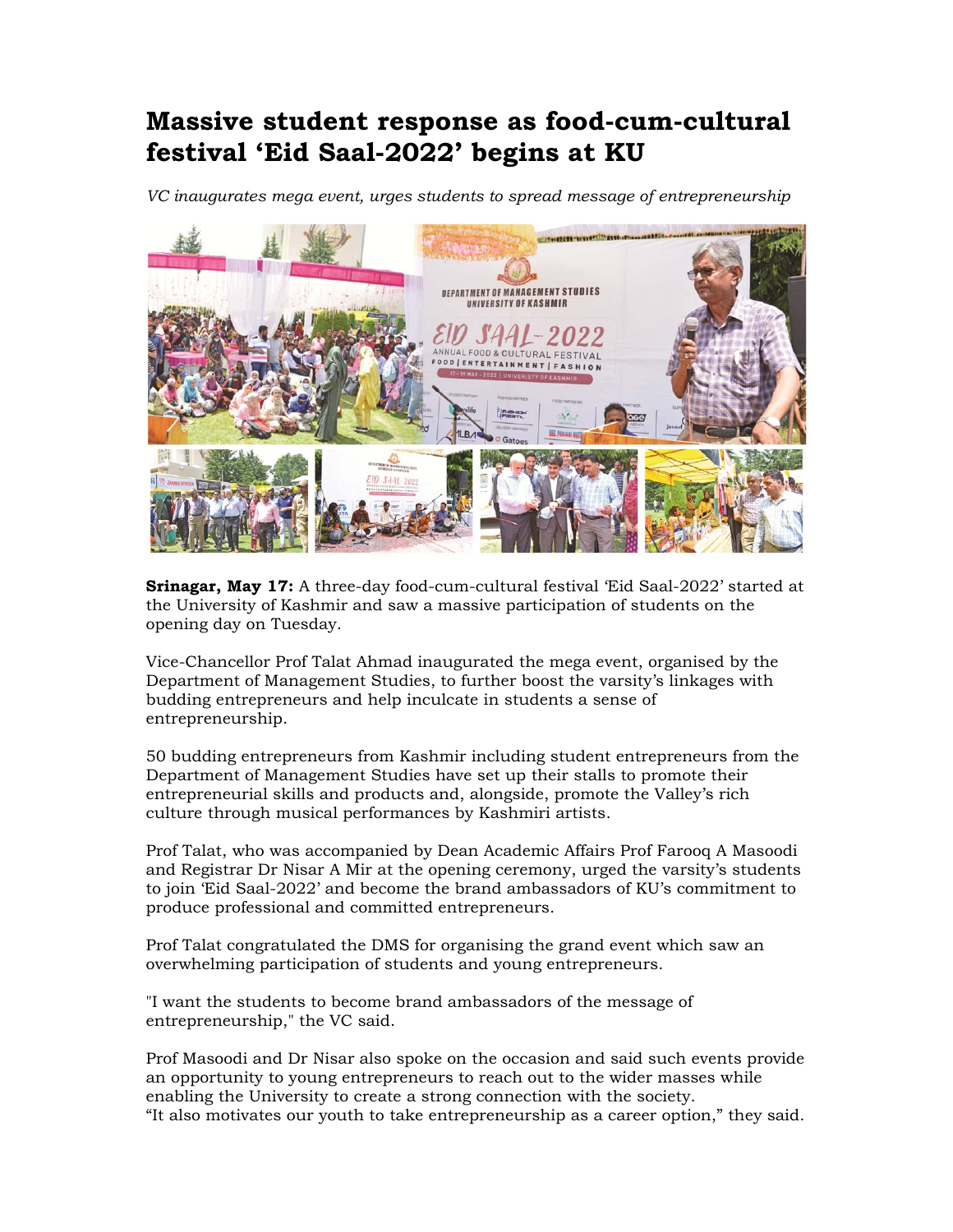## **Massive student response as food-cum-cultural festival 'Eid Saal-2022' begins at KU**

*VC inaugurates mega event, urges students to spread message of entrepreneurship* 



**Srinagar, May 17:** A three-day food-cum-cultural festival 'Eid Saal-2022' started at the University of Kashmir and saw a massive participation of students on the opening day on Tuesday.

Vice-Chancellor Prof Talat Ahmad inaugurated the mega event, organised by the Department of Management Studies, to further boost the varsity's linkages with budding entrepreneurs and help inculcate in students a sense of entrepreneurship.

50 budding entrepreneurs from Kashmir including student entrepreneurs from the Department of Management Studies have set up their stalls to promote their entrepreneurial skills and products and, alongside, promote the Valley's rich culture through musical performances by Kashmiri artists.

Prof Talat, who was accompanied by Dean Academic Affairs Prof Farooq A Masoodi and Registrar Dr Nisar A Mir at the opening ceremony, urged the varsity's students to join 'Eid Saal-2022' and become the brand ambassadors of KU's commitment to produce professional and committed entrepreneurs.

Prof Talat congratulated the DMS for organising the grand event which saw an overwhelming participation of students and young entrepreneurs.

"I want the students to become brand ambassadors of the message of entrepreneurship," the VC said.

Prof Masoodi and Dr Nisar also spoke on the occasion and said such events provide an opportunity to young entrepreneurs to reach out to the wider masses while enabling the University to create a strong connection with the society. "It also motivates our youth to take entrepreneurship as a career option," they said.